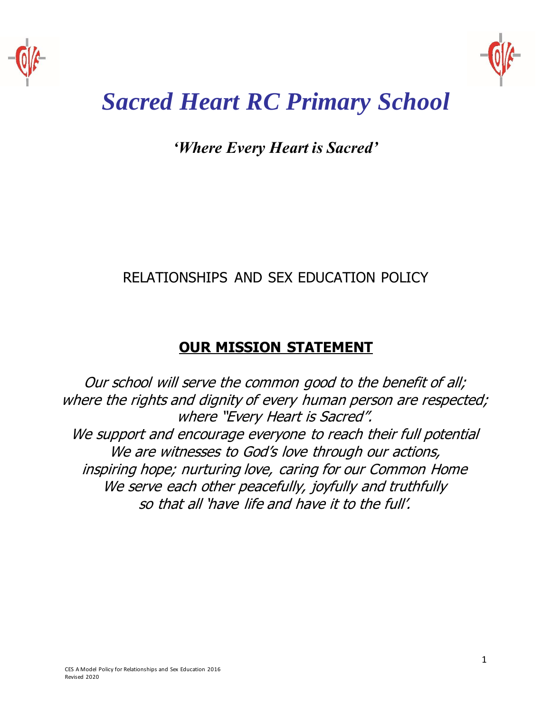



# *Sacred Heart RC Primary School*

*'Where Every Heart is Sacred'*

## RELATIONSHIPS AND SEX EDUCATION POLICY

## **OUR MISSION STATEMENT**

Our school will serve the common good to the benefit of all; where the rights and dignity of every human person are respected; where "Every Heart is Sacred". We support and encourage everyone to reach their full potential We are witnesses to God's love through our actions, inspiring hope; nurturing love, caring for our Common Home We serve each other peacefully, joyfully and truthfully so that all 'have life and have it to the full'.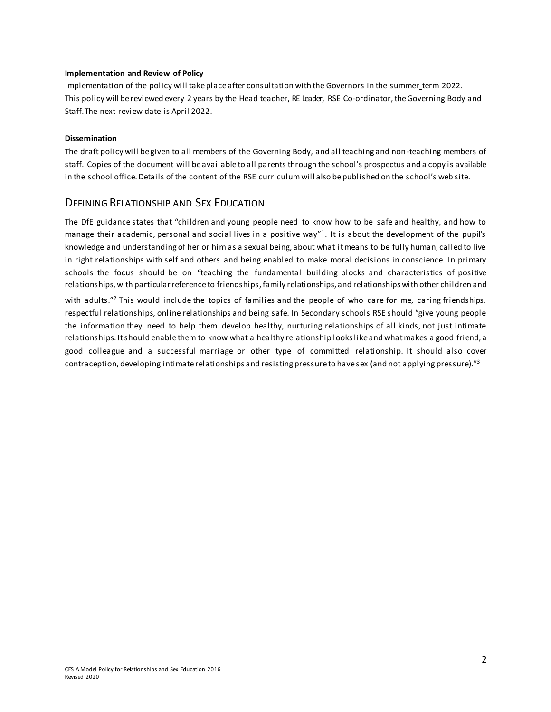#### **Implementation and Review of Policy**

Implementation of the policy will take place after consultation with the Governors in the summer term 2022. This policy will be reviewed every 2 years by the Head teacher, RE Leader, RSE Co-ordinator, the Governing Body and Staff. The next review date is April 2022.

#### **Dissemination**

The draft policy will be given to all members of the Governing Body, and all teaching and non-teaching members of staff. Copies of the document will beavailable to all parents through the school's prospectus and a copy is available in the school office. Details ofthe content of the RSE curriculumwill also bepublished on the school's web site.

## DEFINING RELATIONSHIP AND SEX EDUCATION

The DfE guidance states that "children and young people need to know how to be safe and healthy, and how to manage their academic, personal and social lives in a positive way" $1$ . It is about the development of the pupil's knowledge and understanding of her or him as a sexual being, about what it means to be fully human, called to live in right relationships with self and others and being enabled to make moral decisions in conscience. In primary schools the focus should be on "teaching the fundamental building blocks and characteristics of positive relationships, with particularreferenceto friendships,family relationships, and relationships with other children and

with adults."<sup>2</sup> This would include the topics of families and the people of who care for me, caring friendships, respectful relationships, online relationships and being safe. In Secondary schools RSE should "give young people the information they need to help them develop healthy, nurturing relationships of all kinds, not just intimate relationships. Itshould enable them to know what a healthy relationship lookslikeand whatmakes a good friend, a good colleague and a successful marriage or other type of committed relationship. It should also cover contraception, developing intimate relationships and resisting pressure to havesex (and not applying pressure)."<sup>3</sup>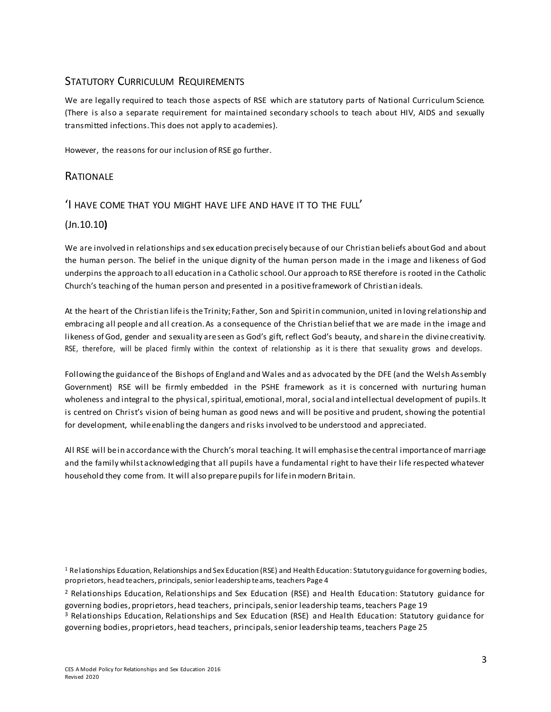## STATUTORY CURRICULUM REQUIREMENTS

We are legally required to teach those aspects of RSE which are statutory parts of National Curriculum Science. (There is also a separate requirement for maintained secondary schools to teach about HIV, AIDS and sexually transmitted infections. This does not apply to academies).

However, the reasons for our inclusion of RSE go further.

## **RATIONALE**

## 'I HAVE COME THAT YOU MIGHT HAVE LIFE AND HAVE IT TO THE FULL'

## (Jn.10.10**)**

We are involved in relationships and sex education precisely because of our Christian beliefs about God and about the human person. The belief in the unique dignity of the human person made in the i mage and likeness of God underpins the approach to all education in a Catholic school.Our approach to RSE therefore is rooted in the Catholic Church's teaching of the human person and presented in a positive framework of Christian ideals.

At the heart of the Christian lifeis theTrinity; Father, Son and Spiritin communion, united in loving relationship and embracing all people and all creation. As a consequence of the Christian belief that we are made in the image and likeness of God, gender and sexuality are seen as God's gift, reflect God's beauty, and share in the divine creativity. RSE, therefore, will be placed firmly within the context of relationship as it is there that sexuality grows and develops.

Following the guidance of the Bishops of England and Wales and as advocated by the DFE (and the Welsh Assembly Government) RSE will be firmly embedded in the PSHE framework as it is concerned with nurturing human wholeness and integral to the physical, spiritual, emotional, moral, social and intellectual development of pupils. It is centred on Christ's vision of being human as good news and will be positive and prudent, showing the potential for development, whileenabling the dangers and risks involved to be understood and appreciated.

All RSE will bein accordancewith the Church's moral teaching. It will emphasise thecentral importanceof marriage and the family whilst acknowledging that all pupils have a fundamental right to have their life respected whatever household they come from. It will also prepare pupils for life in modern Britain.

<sup>1</sup> Relationships Education, Relationships and Sex Education (RSE) and Health Education: Statutory guidance for governing bodies, proprietors, head teachers, principals, seniorleadership teams, teachers Page 4

<sup>2</sup> Relationships Education, Relationships and Sex Education (RSE) and Health Education: Statutory guidance for governing bodies, proprietors, head teachers, principals,senior leadership teams, teachers Page 19

<sup>3</sup> Relationships Education, Relationships and Sex Education (RSE) and Health Education: Statutory guidance for governing bodies, proprietors, head teachers, principals, senior leadership teams, teachers Page 25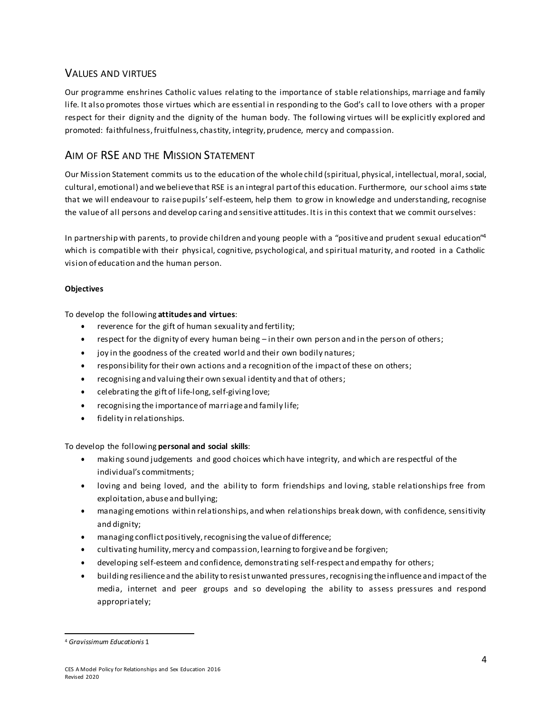## VALUES AND VIRTUES

Our programme enshrines Catholic values relating to the importance of stable relationships, marriage and family life. It also promotes those virtues which are essential in responding to the God's call to love others with a proper respect for their dignity and the dignity of the human body. The following virtues will be explicitly explored and promoted: faithfulness,fruitfulness, chastity, integrity, prudence, mercy and compassion.

## AIM OF RSE AND THE MISSION STATEMENT

Our Mission Statement commits us to the education of the whole child (spiritual, physical, intellectual,moral,social, cultural, emotional) and webelievethat RSE is an integral part ofthis education. Furthermore, ourschool aims state that we will endeavour to raise pupils' self-esteem, help them to grow in knowledge and understanding, recognise the valueof all persons and develop caring and sensitive attitudes. Itis in this context that we commit ourselves:

In partnership with parents, to provide children and young people with a "positive and prudent sexual education"<sup>4</sup> which is compatible with their physical, cognitive, psychological, and spiritual maturity, and rooted in a Catholic vision of education and the human person.

#### **Objectives**

To develop the following **attitudes and virtues**:

- reverence for the gift of human sexuality and fertility;
- respect for the dignity of every human being in their own person and in the person of others;
- joy in the goodness of the created world and their own bodily natures;
- responsibility for their own actions and a recognition ofthe impact of these on others;
- recognising and valuing their own sexual identity and that of others;
- celebrating the giftof life-long,self-giving love;
- recognising the importanceof marriage and family life;
- fidelity in relationships.

#### To develop the following **personal and social skills**:

- making sound judgements and good choices which have integrity, and which are respectful of the individual's commitments;
- loving and being loved, and the ability to form friendships and loving, stable relationships free from exploitation, abuse and bullying;
- managing emotions within relationships, and when relationships break down, with confidence, sensitivity and dignity;
- managing conflict positively, recognising the value of difference;
- cultivating humility,mercy and compassion, learning to forgive and be forgiven;
- developing self-esteem and confidence, demonstrating self-respect and empathy for others;
- building resilience and the ability to resistunwanted pressures,recognising theinfluence and impact of the media, internet and peer groups and so developing the ability to assess pressures and respond appropriately;

<sup>4</sup> *Gravissimum Educationis* 1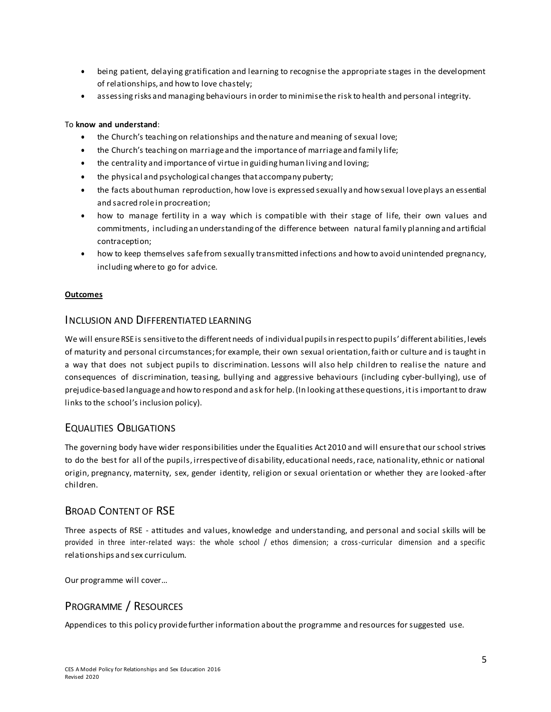- being patient, delaying gratification and learning to recognise the appropriate stages in the development of relationships, and howto love chastely;
- assessing risks and managing behaviours in order to minimise the risk to health and personal integrity.

#### To **know and understand**:

- the Church's teaching on relationships and the nature and meaning of sexual love;
- the Church's teaching on marriage and the importance of marriage and family life;
- the centrality and importanceof virtue in guiding human living and loving;
- the physical and psychological changes that accompany puberty;
- the facts about human reproduction, how love is expressed sexually and howsexual loveplays an essential and sacred role in procreation;
- how to manage fertility in a way which is compatible with their stage of life, their own values and commitments, including an understanding of the difference between natural family planning and artificial contraception;
- how to keep themselves safefrom sexually transmitted infections and howto avoid unintended pregnancy, including where to go for advice.

#### **Outcomes**

#### INCLUSION AND DIFFERENTIATED LEARNING

We will ensure RSE is sensitive to the different needs of individual pupils in respect to pupils' different abilities, levels of maturity and personal circumstances; for example, their own sexual orientation, faith or culture and is taught in a way that does not subject pupils to discrimination. Lessons will also help children to realise the nature and consequences of discrimination, teasing, bullying and aggressive behaviours (including cyber-bullying), use of prejudice-based language and how to respond and ask for help. (In looking at these questions, it is important to draw links to the school's inclusion policy).

#### EQUALITIES OBLIGATIONS

The governing body have wider responsibilities under the Equalities Act 2010 and will ensurethat ourschool strives to do the best for all of the pupils, irrespective of disability, educational needs, race, nationality, ethnic or national origin, pregnancy, maternity, sex, gender identity, religion or sexual orientation or whether they are looked-after children.

## BROAD CONTENT OF RSE

Three aspects of RSE - attitudes and values, knowledge and understanding, and personal and social skills will be provided in three inter-related ways: the whole school / ethos dimension; a cross-curricular dimension and a specific relationships and sex curriculum.

Our programme will cover…

## PROGRAMME / RESOURCES

Appendices to this policy provide further information aboutthe programme and resources forsuggested use.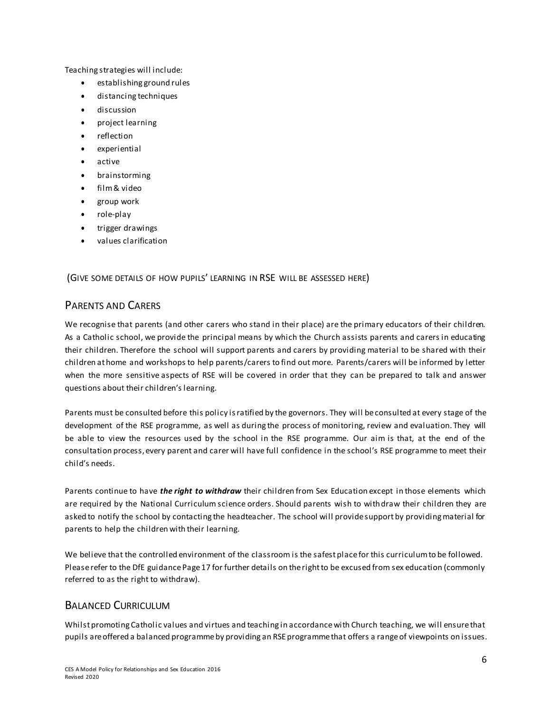Teaching strategies will include:

- establishing ground rules
- distancing techniques
- discussion
- project learning
- reflection
- experiential
- active
- brainstorming
- film& video
- group work
- role-play
- trigger drawings
- values clarification

(GIVE SOME DETAILS OF HOW PUPILS' LEARNING IN RSE WILL BE ASSESSED HERE)

## PARENTS AND CARERS

We recognise that parents (and other carers who stand in their place) are the primary educators of their children. As a Catholic school, we provide the principal means by which the Church assists parents and carers in educating their children. Therefore the school will support parents and carers by providing material to be shared with their children at home and workshops to help parents/carers to find out more. Parents/carers will be informed by letter when the more sensitive aspects of RSE will be covered in order that they can be prepared to talk and answer questions about their children's learning.

Parents must be consulted before this policy is ratified by the governors. They will be consulted at every stage of the development of the RSE programme, as well as during the process of monitoring, review and evaluation. They will be able to view the resources used by the school in the RSE programme. Our aim is that, at the end of the consultation process, every parent and carer will have full confidence in the school's RSE programme to meet their child's needs.

Parents continue to have *the right to withdraw* their children from Sex Education except in those elements which are required by the National Curriculum science orders. Should parents wish to withdraw their children they are asked to notify the school by contacting the headteacher. The school will provide support by providing material for parents to help the children with their learning.

We believe that the controlled environment of the classroom is the safest place for this curriculum to be followed. Please refer to the DfE guidance Page 17 for further details on the right to be excused from sex education (commonly referred to as the right to withdraw).

## BALANCED CURRICULUM

Whilst promoting Catholic values and virtues and teaching in accordancewith Church teaching, we will ensure that pupils areoffered a balanced programmeby providing an RSE programme that offers a rangeof viewpoints on issues.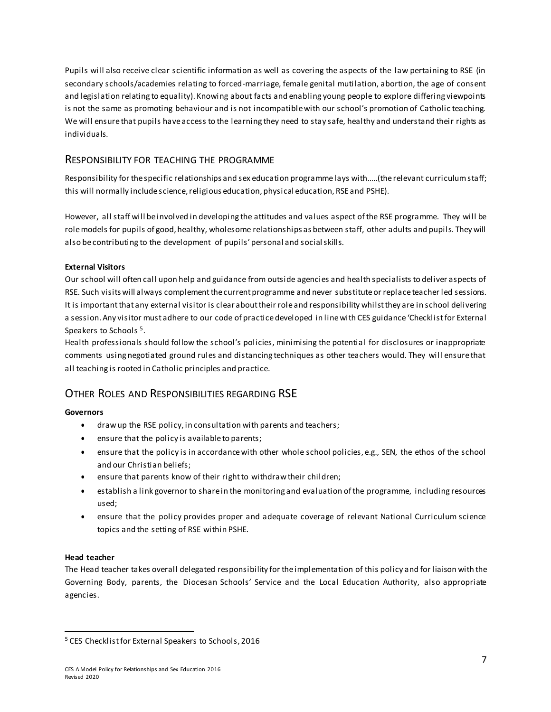Pupils will also receive clear scientific information as well as covering the aspects of the law pertaining to RSE (in secondary schools/academies relating to forced-marriage, female genital mutilation, abortion, the age of consent and legislation relating to equality). Knowing about facts and enabling young people to explore differing viewpoints is not the same as promoting behaviour and is not incompatible with our school's promotion of Catholic teaching. We will ensure that pupils haveaccess to the learning they need to stay safe, healthy and understand their rights as individuals.

## RESPONSIBILITY FOR TEACHING THE PROGRAMME

Responsibility for thespecific relationships and sex education programme lays with…..(the relevant curriculumstaff; this will normally include science, religious education, physical education, RSE and PSHE).

However, all staff will beinvolved in developing the attitudes and values aspect ofthe RSE programme. They will be role models for pupils of good, healthy, wholesome relationships as between staff, other adults and pupils. They will also be contributing to the development of pupils' personal and socialskills.

#### **External Visitors**

Our school will often call upon help and guidance from outside agencies and health specialists to deliver aspects of RSE. Such visits will always complement the current programme and never substitute or replace teacher led sessions. It is important that any external visitor is clearabout their role and responsibility whilst they are in school delivering a session. Any visitor must adhere to our code of practice developed in line with CES guidance 'Checklist for External Speakers to Schools<sup>5</sup>.

Health professionals should follow the school's policies, minimising the potential for disclosures or inappropriate comments using negotiated ground rules and distancing techniques as other teachers would. They will ensure that all teaching is rooted in Catholic principles and practice.

## OTHER ROLES AND RESPONSIBILITIES REGARDING RSE

#### **Governors**

- drawup the RSE policy, in consultation with parents and teachers;
- ensure that the policy is available to parents;
- ensure that the policy is in accordancewith other whole school policies, e.g., SEN, the ethos of the school and our Christian beliefs;
- ensure that parents know of their rightto withdrawtheir children;
- establish a link governor to share in the monitoring and evaluation of the programme, including resources used;
- ensure that the policy provides proper and adequate coverage of relevant National Curriculum science topics and the setting of RSE within PSHE.

#### **Head teacher**

The Head teacher takes overall delegated responsibility for theimplementation of this policy and for liaison with the Governing Body, parents, the Diocesan Schools' Service and the Local Education Authority, also appropriate agencies.

<sup>5</sup> CES Checklistfor External Speakers to Schools, 2016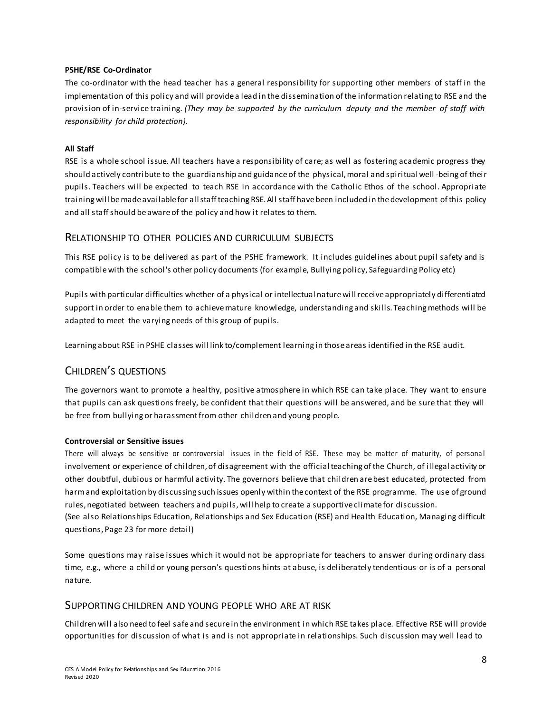#### **PSHE/RSE Co-Ordinator**

The co-ordinator with the head teacher has a general responsibility for supporting other members of staff in the implementation of this policy and will provide a lead in the dissemination ofthe information relating to RSE and the provision of in-service training. *(They may be supported by the curriculum deputy and the member of staff with responsibility for child protection).*

#### **All Staff**

RSE is a whole school issue. All teachers have a responsibility of care; as well as fostering academic progress they should actively contribute to the guardianship and guidance of the physical, moral and spiritual well -being of their pupils. Teachers will be expected to teach RSE in accordance with the Catholic Ethos of the school. Appropriate training will be made available for all staff teaching RSE. All staff have been included in the development of this policy and all staffshould beawareof the policy and how it relates to them.

#### RELATIONSHIP TO OTHER POLICIES AND CURRICULUM SUBJECTS

This RSE policy is to be delivered as part of the PSHE framework. It includes guidelines about pupil safety and is compatiblewith the school's other policy documents (for example, Bullying policy, Safeguarding Policy etc)

Pupils with particular difficulties whether of a physical or intellectual naturewillreceiveappropriately differentiated support in order to enable them to achieve mature knowledge, understanding and skills. Teaching methods will be adapted to meet the varying needs of this group of pupils.

Learning about RSE in PSHE classes will link to/complement learning in thoseareas identified in the RSE audit.

## CHILDREN'S QUESTIONS

The governors want to promote a healthy, positive atmosphere in which RSE can take place. They want to ensure that pupils can ask questions freely, be confident that their questions will be answered, and be sure that they will be free from bullying or harassment from other children and young people.

#### **Controversial or Sensitive issues**

There will always be sensitive or controversial issues in the field of RSE. These may be matter of maturity, of persona l involvement or experience of children, of disagreement with the official teaching of the Church, of illegal activity or other doubtful, dubious or harmful activity. The governors believe that children are best educated, protected from harmand exploitation by discussing such issues openly within thecontext of the RSE programme. The use of ground rules, negotiated between teachers and pupils, will help to create a supportive climate for discussion. (See also Relationships Education, Relationships and Sex Education (RSE) and Health Education, Managing difficult

questions, Page 23 for more detail)

Some questions may raise issues which it would not be appropriate for teachers to answer during ordinary class time, e.g., where a child or young person's questions hints at abuse, is deliberately tendentious or is of a personal nature.

#### SUPPORTING CHILDREN AND YOUNG PEOPLE WHO ARE AT RISK

Children will also need to feel safeand secure in the environment in which RSE takes place. Effective RSE will provide opportunities for discussion of what is and is not appropriate in relationships. Such discussion may well lead to